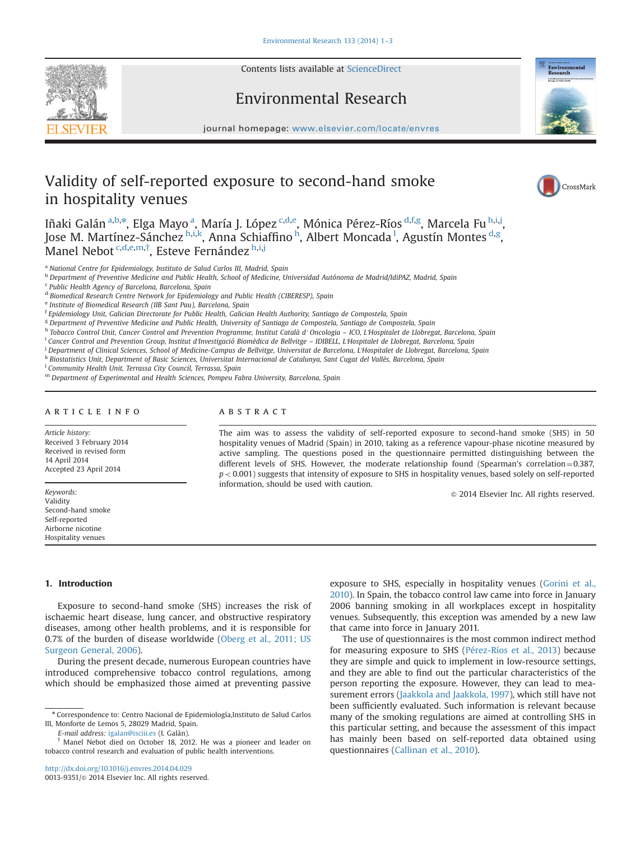Contents lists available at [ScienceDirect](www.sciencedirect.com/science/journal/00139351)

Environmental Research



journal homepage: <www.elsevier.com/locate/envres>se $\mathcal{C}$ 

# Validity of self-reported exposure to second-hand smoke in hospitality venues



Iñaki Galán $^{\rm a,b,*}$ , Elga Mayo $^{\rm a}$ , María J. López $^{\rm c,d,e}$ , Mónica Pérez-Ríos $^{\rm d,f,g}$ , Marcela Fu $^{\rm h,i,j}$ , Jose M. Martínez-Sánchez h.i.k, Anna Schiaffino <sup>h</sup>, Albert Moncada <sup>l</sup>, Agustín Montes <sup>d,g</sup>, Manel Nebot <sup>c,d,e,m,†</sup>, Esteve Fernández <sup>h,i,j</sup>

<sup>a</sup> National Centre for Epidemiology, Instituto de Salud Carlos III, Madrid, Spain

<sup>b</sup> Department of Preventive Medicine and Public Health, School of Medicine, Universidad Autónoma de Madrid/IdiPAZ, Madrid, Spain

<sup>c</sup> Public Health Agency of Barcelona, Barcelona, Spain

<sup>d</sup> Biomedical Research Centre Network for Epidemiology and Public Health (CIBERESP), Spain

<sup>e</sup> Institute of Biomedical Research (IIB Sant Pau), Barcelona, Spain

<sup>f</sup> Epidemiology Unit, Galician Directorate for Public Health, Galician Health Authority, Santiago de Compostela, Spain

<sup>g</sup> Department of Preventive Medicine and Public Health, University of Santiago de Compostela, Santiago de Compostela, Spain

h Tobacco Control Unit, Cancer Control and Prevention Programme, Institut Català d'Oncologia – ICO, L'Hospitalet de Llobregat, Barcelona, Spain

<sup>i</sup> Cancer Control and Prevention Group, Institut d'Investigació Biomèdica de Bellvitge – IDIBELL, L'Hospitalet de Llobregat, Barcelona, Spain

j Department of Clinical Sciences, School of Medicine-Campus de Bellvitge, Universitat de Barcelona, L'Hospitalet de Llobregat, Barcelona, Spain

k Biostatistics Unit, Department of Basic Sciences, Universitat Internacional de Catalunya, Sant Cugat del Vallès, Barcelona, Spain

<sup>1</sup> Community Health Unit, Terrassa City Council, Terrassa, Spain

m Department of Experimental and Health Sciences, Pompeu Fabra University, Barcelona, Spain

# article info

Article history: Received 3 February 2014 Received in revised form 14 April 2014 Accepted 23 April 2014

Keywords: Validity Second-hand smoke Self-reported Airborne nicotine Hospitality venues

# ABSTRACT

The aim was to assess the validity of self-reported exposure to second-hand smoke (SHS) in 50 hospitality venues of Madrid (Spain) in 2010, taking as a reference vapour-phase nicotine measured by active sampling. The questions posed in the questionnaire permitted distinguishing between the different levels of SHS. However, the moderate relationship found (Spearman's correlation= $0.387$ ,  $p < 0.001$ ) suggests that intensity of exposure to SHS in hospitality venues, based solely on self-reported information, should be used with caution.

 $\odot$  2014 Elsevier Inc. All rights reserved.

# 1. Introduction

Exposure to second-hand smoke (SHS) increases the risk of ischaemic heart disease, lung cancer, and obstructive respiratory diseases, among other health problems, and it is responsible for 0.7% of the burden of disease worldwide ([Oberg et al., 2011; US](#page-2-0) [Surgeon General, 2006\)](#page-2-0).

During the present decade, numerous European countries have introduced comprehensive tobacco control regulations, among which should be emphasized those aimed at preventing passive

E-mail address: [igalan@isciii.es](mailto:igalan@isciii.es) (I. Galán).

exposure to SHS, especially in hospitality venues ([Gorini et al.,](#page-2-0) [2010\)](#page-2-0). In Spain, the tobacco control law came into force in January 2006 banning smoking in all workplaces except in hospitality venues. Subsequently, this exception was amended by a new law that came into force in January 2011.

The use of questionnaires is the most common indirect method for measuring exposure to SHS ([Pérez-Ríos et al., 2013\)](#page-2-0) because they are simple and quick to implement in low-resource settings, and they are able to find out the particular characteristics of the person reporting the exposure. However, they can lead to measurement errors ([Jaakkola and Jaakkola, 1997\)](#page-2-0), which still have not been sufficiently evaluated. Such information is relevant because many of the smoking regulations are aimed at controlling SHS in this particular setting, and because the assessment of this impact has mainly been based on self-reported data obtained using questionnaires ([Callinan et al., 2010\)](#page-2-0).

<sup>n</sup> Correspondence to: Centro Nacional de Epidemiología,Instituto de Salud Carlos III, Monforte de Lemos 5, 28029 Madrid, Spain.

<sup>†</sup> Manel Nebot died on October 18, 2012. He was a pioneer and leader on tobacco control research and evaluation of public health interventions.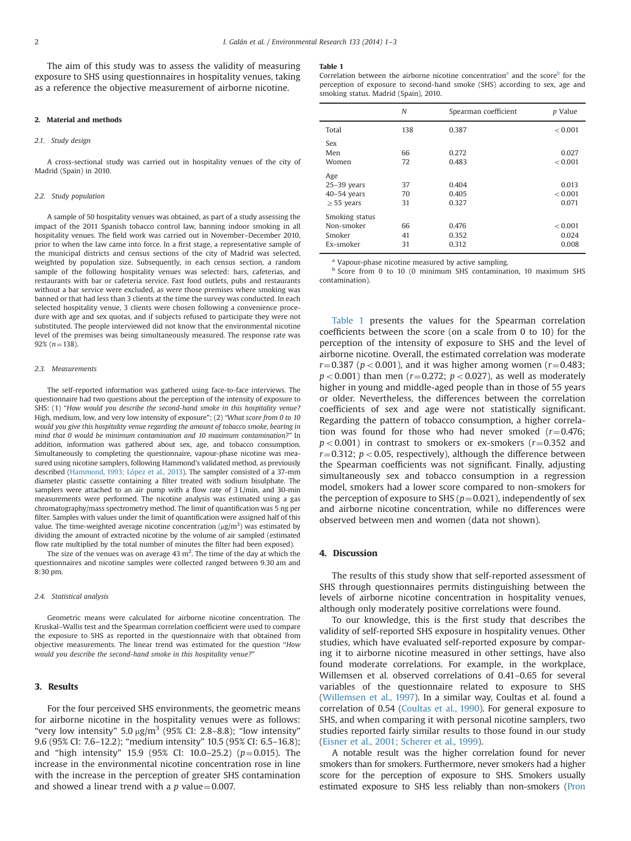The aim of this study was to assess the validity of measuring exposure to SHS using questionnaires in hospitality venues, taking as a reference the objective measurement of airborne nicotine.

#### 2. Material and methods

#### 2.1. Study design

A cross-sectional study was carried out in hospitality venues of the city of Madrid (Spain) in 2010.

#### 2.2. Study population

A sample of 50 hospitality venues was obtained, as part of a study assessing the impact of the 2011 Spanish tobacco control law, banning indoor smoking in all hospitality venues. The field work was carried out in November–December 2010, prior to when the law came into force. In a first stage, a representative sample of the municipal districts and census sections of the city of Madrid was selected, weighted by population size. Subsequently, in each census section, a random sample of the following hospitality venues was selected: bars, cafeterias, and restaurants with bar or cafeteria service. Fast food outlets, pubs and restaurants without a bar service were excluded, as were those premises where smoking was banned or that had less than 3 clients at the time the survey was conducted. In each selected hospitality venue, 3 clients were chosen following a convenience procedure with age and sex quotas, and if subjects refused to participate they were not substituted. The people interviewed did not know that the environmental nicotine level of the premises was being simultaneously measured. The response rate was  $92\%$  ( $n=138$ ).

#### 2.3. Measurements

The self-reported information was gathered using face-to-face interviews. The questionnaire had two questions about the perception of the intensity of exposure to SHS: (1) "How would you describe the second-hand smoke in this hospitality venue? High, medium, low, and very low intensity of exposure"; (2) "What score from 0 to 10 would you give this hospitality venue regarding the amount of tobacco smoke, bearing in mind that 0 would be minimum contamination and 10 maximum contamination?" In addition, information was gathered about sex, age, and tobacco consumption. Simultaneously to completing the questionnaire, vapour-phase nicotine was measured using nicotine samplers, following Hammond's validated method, as previously described [\(Hammond, 1993; López et al., 2013](#page-2-0)). The sampler consisted of a 37-mm diameter plastic cassette containing a filter treated with sodium bisulphate. The samplers were attached to an air pump with a flow rate of 3 L/min, and 30-min measurements were performed. The nicotine analysis was estimated using a gas chromatography/mass spectrometry method. The limit of quantification was 5 ng per filter. Samples with values under the limit of quantification were assigned half of this value. The time-weighted average nicotine concentration  $(\mu g/m^3)$  was estimated by dividing the amount of extracted nicotine by the volume of air sampled (estimated flow rate multiplied by the total number of minutes the filter had been exposed).

The size of the venues was on average  $43 \text{ m}^2$ . The time of the day at which the questionnaires and nicotine samples were collected ranged between 9.30 am and 8:30 pm.

#### 2.4. Statistical analysis

Geometric means were calculated for airborne nicotine concentration. The Kruskal–Wallis test and the Spearman correlation coefficient were used to compare the exposure to SHS as reported in the questionnaire with that obtained from objective measurements. The linear trend was estimated for the question "How would you describe the second-hand smoke in this hospitality venue?"

## 3. Results

For the four perceived SHS environments, the geometric means for airborne nicotine in the hospitality venues were as follows: "very low intensity"  $5.0 \mu g/m^3$  (95% CI: 2.8–8.8); "low intensity" 9.6 (95% CI: 7.6–12.2); "medium intensity" 10.5 (95% CI: 6.5–16.8); and "high intensity" 15.9 (95% CI: 10.0–25.2) ( $p=0.015$ ). The increase in the environmental nicotine concentration rose in line with the increase in the perception of greater SHS contamination and showed a linear trend with a  $p$  value = 0.007.

#### Table 1

Correlation between the airborne nicotine concentration<sup>a</sup> and the score<sup>b</sup> for the perception of exposure to second-hand smoke (SHS) according to sex, age and smoking status. Madrid (Spain), 2010.

|                 | N   | Spearman coefficient | <i>p</i> Value |
|-----------------|-----|----------------------|----------------|
| Total           | 138 | 0.387                | < 0.001        |
| Sex             |     |                      |                |
| Men             | 66  | 0.272                | 0.027          |
| Women           | 72  | 0.483                | < 0.001        |
| Age             |     |                      |                |
| $25-39$ years   | 37  | 0.404                | 0.013          |
| $40-54$ years   | 70  | 0.405                | < 0.001        |
| $\geq$ 55 years | 31  | 0.327                | 0.071          |
| Smoking status  |     |                      |                |
| Non-smoker      | 66  | 0.476                | < 0.001        |
| Smoker          | 41  | 0.352                | 0.024          |
| Ex-smoker       | 31  | 0.312                | 0.008          |
|                 |     |                      |                |

<sup>a</sup> Vapour-phase nicotine measured by active sampling.

<sup>b</sup> Score from 0 to 10 (0 minimum SHS contamination, 10 maximum SHS contamination).

Table 1 presents the values for the Spearman correlation coefficients between the score (on a scale from 0 to 10) for the perception of the intensity of exposure to SHS and the level of airborne nicotine. Overall, the estimated correlation was moderate  $r = 0.387$  ( $p < 0.001$ ), and it was higher among women ( $r = 0.483$ ;  $p < 0.001$ ) than men ( $r = 0.272$ ;  $p < 0.027$ ), as well as moderately higher in young and middle-aged people than in those of 55 years or older. Nevertheless, the differences between the correlation coefficients of sex and age were not statistically significant. Regarding the pattern of tobacco consumption, a higher correlation was found for those who had never smoked  $(r=0.476)$ ;  $p < 0.001$ ) in contrast to smokers or ex-smokers ( $r = 0.352$  and  $r=0.312$ ;  $p<0.05$ , respectively), although the difference between the Spearman coefficients was not significant. Finally, adjusting simultaneously sex and tobacco consumption in a regression model, smokers had a lower score compared to non-smokers for the perception of exposure to SHS ( $p=0.021$ ), independently of sex and airborne nicotine concentration, while no differences were observed between men and women (data not shown).

## 4. Discussion

The results of this study show that self-reported assessment of SHS through questionnaires permits distinguishing between the levels of airborne nicotine concentration in hospitality venues, although only moderately positive correlations were found.

To our knowledge, this is the first study that describes the validity of self-reported SHS exposure in hospitality venues. Other studies, which have evaluated self-reported exposure by comparing it to airborne nicotine measured in other settings, have also found moderate correlations. For example, in the workplace, Willemsen et al. observed correlations of 0.41–0.65 for several variables of the questionnaire related to exposure to SHS ([Willemsen et al., 1997](#page-2-0)). In a similar way, Coultas et al. found a correlation of 0.54 [\(Coultas et al., 1990\)](#page-2-0). For general exposure to SHS, and when comparing it with personal nicotine samplers, two studies reported fairly similar results to those found in our study ([Eisner et al., 2001; Scherer et al., 1999](#page-2-0)).

A notable result was the higher correlation found for never smokers than for smokers. Furthermore, never smokers had a higher score for the perception of exposure to SHS. Smokers usually estimated exposure to SHS less reliably than non-smokers ([Pron](#page-2-0)